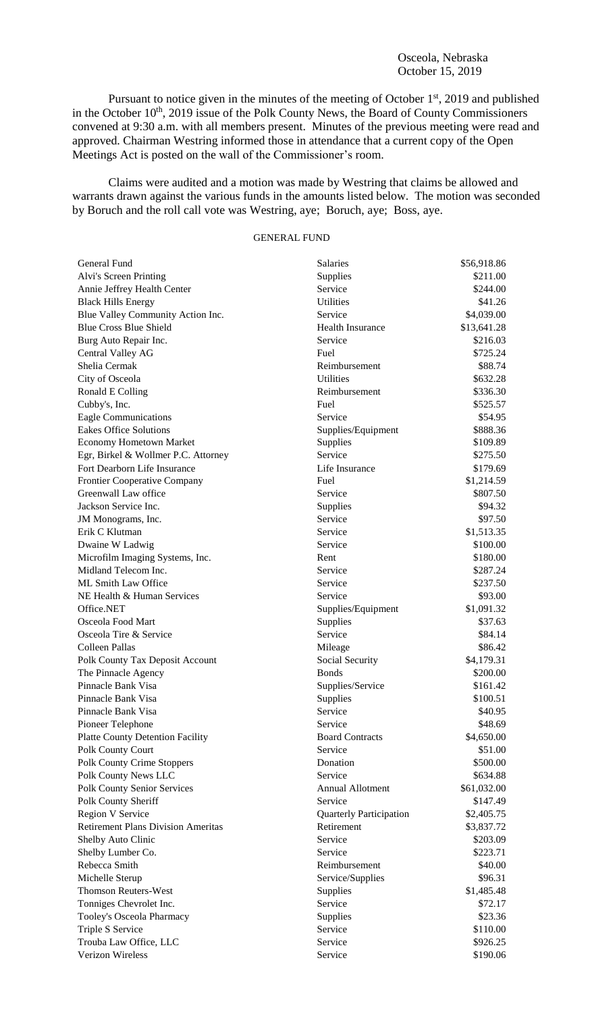## Osceola, Nebraska October 15, 2019

Pursuant to notice given in the minutes of the meeting of October 1<sup>st</sup>, 2019 and published in the October  $10<sup>th</sup>$ , 2019 issue of the Polk County News, the Board of County Commissioners convened at 9:30 a.m. with all members present. Minutes of the previous meeting were read and approved. Chairman Westring informed those in attendance that a current copy of the Open Meetings Act is posted on the wall of the Commissioner's room.

Claims were audited and a motion was made by Westring that claims be allowed and warrants drawn against the various funds in the amounts listed below. The motion was seconded by Boruch and the roll call vote was Westring, aye; Boruch, aye; Boss, aye.

## GENERAL FUND

| General Fund                              | <b>Salaries</b>                | \$56,918.86 |
|-------------------------------------------|--------------------------------|-------------|
| Alvi's Screen Printing                    | <b>Supplies</b>                | \$211.00    |
| Annie Jeffrey Health Center               | Service                        | \$244.00    |
| <b>Black Hills Energy</b>                 | <b>Utilities</b>               | \$41.26     |
| Blue Valley Community Action Inc.         | Service                        | \$4,039.00  |
| <b>Blue Cross Blue Shield</b>             | <b>Health Insurance</b>        | \$13,641.28 |
| Burg Auto Repair Inc.                     | Service                        | \$216.03    |
| Central Valley AG                         | Fuel                           | \$725.24    |
| Shelia Cermak                             | Reimbursement                  | \$88.74     |
| City of Osceola                           | <b>Utilities</b>               | \$632.28    |
| Ronald E Colling                          | Reimbursement                  | \$336.30    |
| Cubby's, Inc.                             | Fuel                           | \$525.57    |
| <b>Eagle Communications</b>               | Service                        | \$54.95     |
| <b>Eakes Office Solutions</b>             | Supplies/Equipment             | \$888.36    |
| <b>Economy Hometown Market</b>            | <b>Supplies</b>                | \$109.89    |
| Egr, Birkel & Wollmer P.C. Attorney       | Service                        | \$275.50    |
| Fort Dearborn Life Insurance              | Life Insurance                 | \$179.69    |
| <b>Frontier Cooperative Company</b>       | Fuel                           | \$1,214.59  |
| Greenwall Law office                      | Service                        | \$807.50    |
| Jackson Service Inc.                      | <b>Supplies</b>                | \$94.32     |
| JM Monograms, Inc.                        | Service                        | \$97.50     |
| Erik C Klutman                            | Service                        | \$1,513.35  |
| Dwaine W Ladwig                           | Service                        | \$100.00    |
| Microfilm Imaging Systems, Inc.           | Rent                           | \$180.00    |
| Midland Telecom Inc.                      | Service                        | \$287.24    |
| ML Smith Law Office                       | Service                        | \$237.50    |
| NE Health & Human Services                | Service                        | \$93.00     |
| Office.NET                                | Supplies/Equipment             | \$1,091.32  |
| Osceola Food Mart                         | Supplies                       | \$37.63     |
| Osceola Tire & Service                    | Service                        | \$84.14     |
| Colleen Pallas                            | Mileage                        | \$86.42     |
| Polk County Tax Deposit Account           | Social Security                | \$4,179.31  |
| The Pinnacle Agency                       | <b>Bonds</b>                   | \$200.00    |
| Pinnacle Bank Visa                        | Supplies/Service               | \$161.42    |
| Pinnacle Bank Visa                        | Supplies                       | \$100.51    |
| Pinnacle Bank Visa                        | Service                        | \$40.95     |
| Pioneer Telephone                         | Service                        | \$48.69     |
| <b>Platte County Detention Facility</b>   | <b>Board Contracts</b>         | \$4,650.00  |
| Polk County Court                         | Service                        | \$51.00     |
| <b>Polk County Crime Stoppers</b>         | Donation                       | \$500.00    |
| Polk County News LLC                      | Service                        | \$634.88    |
| <b>Polk County Senior Services</b>        | Annual Allotment               | \$61,032.00 |
| Polk County Sheriff                       | Service                        | \$147.49    |
| <b>Region V Service</b>                   | <b>Quarterly Participation</b> | \$2,405.75  |
| <b>Retirement Plans Division Ameritas</b> | Retirement                     | \$3,837.72  |
| Shelby Auto Clinic                        | Service                        | \$203.09    |
|                                           | Service                        | \$223.71    |
| Shelby Lumber Co.<br>Rebecca Smith        | Reimbursement                  | \$40.00     |
|                                           |                                | \$96.31     |
| Michelle Sterup                           | Service/Supplies               |             |
| <b>Thomson Reuters-West</b>               | Supplies<br>Service            | \$1,485.48  |
| Tonniges Chevrolet Inc.                   |                                | \$72.17     |
| Tooley's Osceola Pharmacy                 | Supplies                       | \$23.36     |
| Triple S Service                          | Service                        | \$110.00    |
| Trouba Law Office, LLC                    | Service                        | \$926.25    |
| Verizon Wireless                          | Service                        | \$190.06    |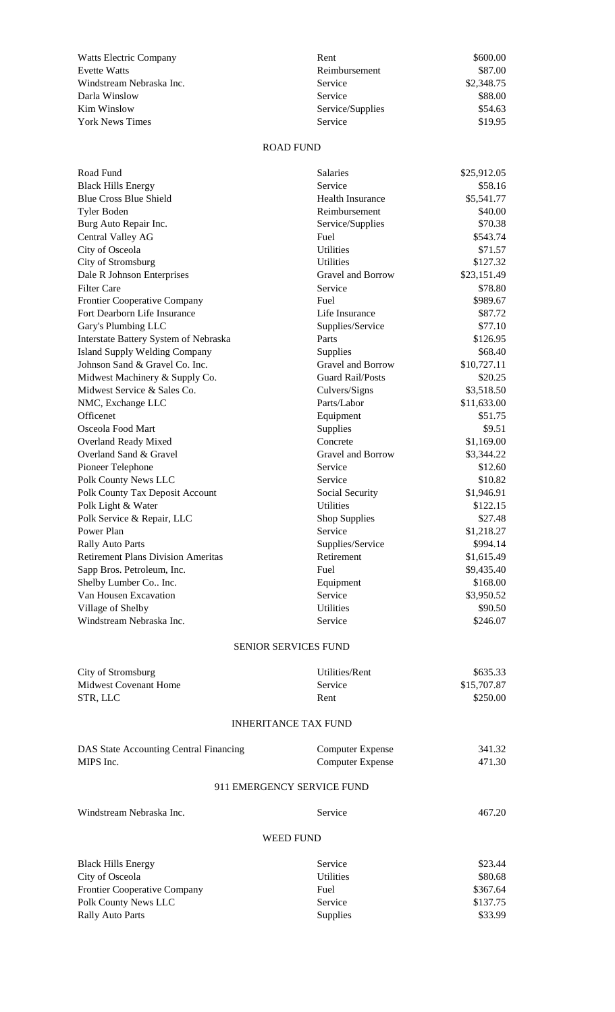| Watts Electric Company   | Rent             | \$600.00   |
|--------------------------|------------------|------------|
| Evette Watts             | Reimbursement    | \$87.00    |
| Windstream Nebraska Inc. | Service          | \$2,348.75 |
| Darla Winslow            | Service          | \$88.00    |
| Kim Winslow              | Service/Supplies | \$54.63    |
| York News Times          | Service          | \$19.95    |

## ROAD FUND

| Road Fund                                 | <b>Salaries</b>             | \$25,912.05 |  |  |
|-------------------------------------------|-----------------------------|-------------|--|--|
| <b>Black Hills Energy</b>                 | Service                     | \$58.16     |  |  |
| <b>Blue Cross Blue Shield</b>             | <b>Health Insurance</b>     | \$5,541.77  |  |  |
| Tyler Boden                               | Reimbursement               | \$40.00     |  |  |
| Burg Auto Repair Inc.                     | Service/Supplies            | \$70.38     |  |  |
| Central Valley AG                         | Fuel                        | \$543.74    |  |  |
| City of Osceola                           | Utilities                   | \$71.57     |  |  |
| City of Stromsburg                        | <b>Utilities</b>            | \$127.32    |  |  |
| Dale R Johnson Enterprises                | Gravel and Borrow           | \$23,151.49 |  |  |
| <b>Filter Care</b>                        | Service                     | \$78.80     |  |  |
| Frontier Cooperative Company              | Fuel                        | \$989.67    |  |  |
| Fort Dearborn Life Insurance              | Life Insurance              | \$87.72     |  |  |
| Gary's Plumbing LLC                       | Supplies/Service            | \$77.10     |  |  |
| Interstate Battery System of Nebraska     | Parts                       | \$126.95    |  |  |
| <b>Island Supply Welding Company</b>      | Supplies                    | \$68.40     |  |  |
| Johnson Sand & Gravel Co. Inc.            | Gravel and Borrow           | \$10,727.11 |  |  |
| Midwest Machinery & Supply Co.            | <b>Guard Rail/Posts</b>     | \$20.25     |  |  |
| Midwest Service & Sales Co.               | Culvers/Signs               | \$3,518.50  |  |  |
| NMC, Exchange LLC                         | Parts/Labor                 | \$11,633.00 |  |  |
| Officenet                                 | Equipment                   | \$51.75     |  |  |
| Osceola Food Mart                         | Supplies                    | \$9.51      |  |  |
| Overland Ready Mixed                      | Concrete                    | \$1,169.00  |  |  |
| Overland Sand & Gravel                    | Gravel and Borrow           | \$3,344.22  |  |  |
| Pioneer Telephone                         | Service                     | \$12.60     |  |  |
| Polk County News LLC                      | Service                     | \$10.82     |  |  |
| Polk County Tax Deposit Account           | Social Security             | \$1,946.91  |  |  |
| Polk Light & Water                        | <b>Utilities</b>            | \$122.15    |  |  |
| Polk Service & Repair, LLC                | Shop Supplies               | \$27.48     |  |  |
| Power Plan                                | Service                     | \$1,218.27  |  |  |
| <b>Rally Auto Parts</b>                   | Supplies/Service            | \$994.14    |  |  |
| <b>Retirement Plans Division Ameritas</b> | Retirement                  | \$1,615.49  |  |  |
| Sapp Bros. Petroleum, Inc.                | Fuel                        | \$9,435.40  |  |  |
| Shelby Lumber Co Inc.                     | Equipment                   | \$168.00    |  |  |
| Van Housen Excavation                     | Service                     | \$3,950.52  |  |  |
| Village of Shelby                         | <b>Utilities</b>            | \$90.50     |  |  |
| Windstream Nebraska Inc.                  | Service                     | \$246.07    |  |  |
|                                           | <b>SENIOR SERVICES FUND</b> |             |  |  |
| City of Stromsburg                        | Utilities/Rent              | \$635.33    |  |  |
| <b>Midwest Covenant Home</b>              | Service                     | \$15,707.87 |  |  |
| STR, LLC                                  | Rent                        | \$250.00    |  |  |
|                                           |                             |             |  |  |
| <b>INHERITANCE TAX FUND</b>               |                             |             |  |  |
| DAS State Accounting Central Financing    | <b>Computer Expense</b>     | 341.32      |  |  |
| MIPS Inc.                                 | <b>Computer Expense</b>     | 471.30      |  |  |
|                                           |                             |             |  |  |
|                                           | 911 EMERGENCY SERVICE FUND  |             |  |  |
| Windstream Nebraska Inc.                  | Service                     | 467.20      |  |  |
| <b>WEED FUND</b>                          |                             |             |  |  |
| <b>Black Hills Energy</b>                 | Service                     | \$23.44     |  |  |
| City of Osceola                           | <b>Utilities</b>            | \$80.68     |  |  |
| Frontier Cooperative Company              | Fuel                        | \$367.64    |  |  |
| Polk County News LLC                      | Service                     | \$137.75    |  |  |
| Rally Auto Parts                          | Supplies                    | \$33.99     |  |  |